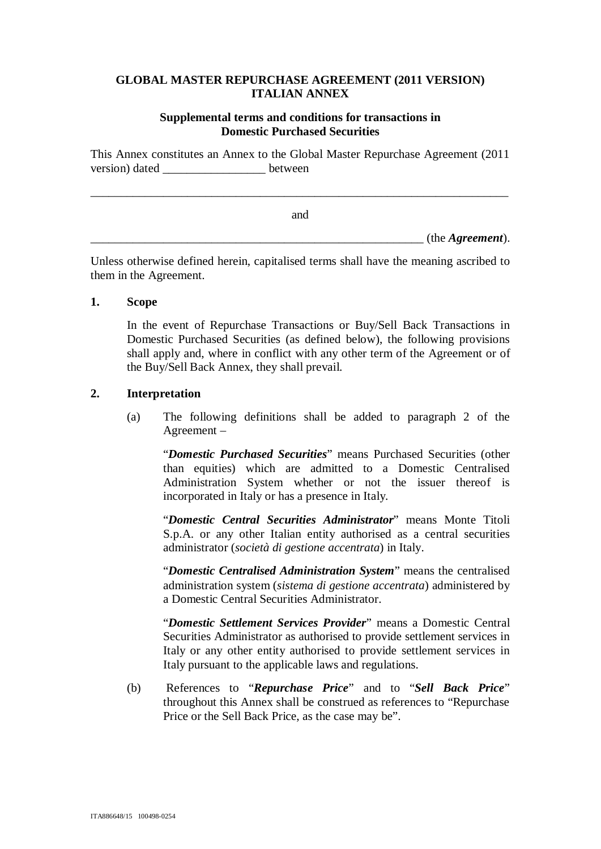## **GLOBAL MASTER REPURCHASE AGREEMENT (2011 VERSION) ITALIAN ANNEX**

## **Supplemental terms and conditions for transactions in Domestic Purchased Securities**

This Annex constitutes an Annex to the Global Master Repurchase Agreement (2011 version) dated between

\_\_\_\_\_\_\_\_\_\_\_\_\_\_\_\_\_\_\_\_\_\_\_\_\_\_\_\_\_\_\_\_\_\_\_\_\_\_\_\_\_\_\_\_\_\_\_\_\_\_\_\_\_\_\_\_\_\_\_\_\_\_\_\_\_\_\_\_\_ and  $(\text{the Agreement}).$ 

Unless otherwise defined herein, capitalised terms shall have the meaning ascribed to them in the Agreement.

## **1. Scope**

In the event of Repurchase Transactions or Buy/Sell Back Transactions in Domestic Purchased Securities (as defined below), the following provisions shall apply and, where in conflict with any other term of the Agreement or of the Buy/Sell Back Annex, they shall prevail.

## **2. Interpretation**

(a) The following definitions shall be added to paragraph 2 of the Agreement –

"*Domestic Purchased Securities*" means Purchased Securities (other than equities) which are admitted to a Domestic Centralised Administration System whether or not the issuer thereof is incorporated in Italy or has a presence in Italy.

"*Domestic Central Securities Administrator*" means Monte Titoli S.p.A. or any other Italian entity authorised as a central securities administrator (*società di gestione accentrata*) in Italy.

"*Domestic Centralised Administration System*" means the centralised administration system (*sistema di gestione accentrata*) administered by a Domestic Central Securities Administrator.

"*Domestic Settlement Services Provider*" means a Domestic Central Securities Administrator as authorised to provide settlement services in Italy or any other entity authorised to provide settlement services in Italy pursuant to the applicable laws and regulations.

(b) References to "*Repurchase Price*" and to "*Sell Back Price*" throughout this Annex shall be construed as references to "Repurchase Price or the Sell Back Price, as the case may be".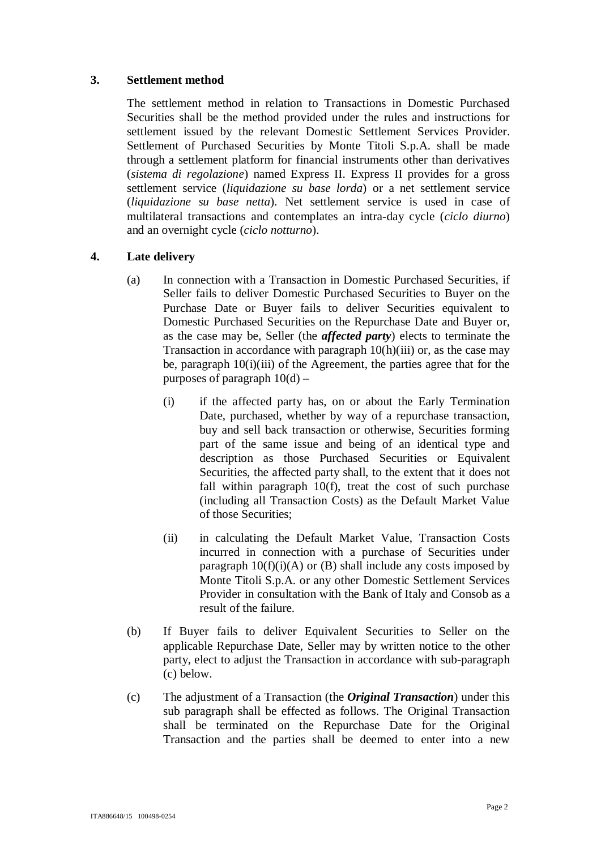## **3. Settlement method**

The settlement method in relation to Transactions in Domestic Purchased Securities shall be the method provided under the rules and instructions for settlement issued by the relevant Domestic Settlement Services Provider. Settlement of Purchased Securities by Monte Titoli S.p.A. shall be made through a settlement platform for financial instruments other than derivatives (*sistema di regolazione*) named Express II. Express II provides for a gross settlement service (*liquidazione su base lorda*) or a net settlement service (*liquidazione su base netta*). Net settlement service is used in case of multilateral transactions and contemplates an intra-day cycle (*ciclo diurno*) and an overnight cycle (*ciclo notturno*).

## **4. Late delivery**

- (a) In connection with a Transaction in Domestic Purchased Securities, if Seller fails to deliver Domestic Purchased Securities to Buyer on the Purchase Date or Buyer fails to deliver Securities equivalent to Domestic Purchased Securities on the Repurchase Date and Buyer or, as the case may be, Seller (the *affected party*) elects to terminate the Transaction in accordance with paragraph 10(h)(iii) or, as the case may be, paragraph 10(i)(iii) of the Agreement, the parties agree that for the purposes of paragraph  $10(d)$  –
	- (i) if the affected party has, on or about the Early Termination Date, purchased, whether by way of a repurchase transaction, buy and sell back transaction or otherwise, Securities forming part of the same issue and being of an identical type and description as those Purchased Securities or Equivalent Securities, the affected party shall, to the extent that it does not fall within paragraph 10(f), treat the cost of such purchase (including all Transaction Costs) as the Default Market Value of those Securities;
	- (ii) in calculating the Default Market Value, Transaction Costs incurred in connection with a purchase of Securities under paragraph  $10(f)(i)(A)$  or (B) shall include any costs imposed by Monte Titoli S.p.A. or any other Domestic Settlement Services Provider in consultation with the Bank of Italy and Consob as a result of the failure.
- (b) If Buyer fails to deliver Equivalent Securities to Seller on the applicable Repurchase Date, Seller may by written notice to the other party, elect to adjust the Transaction in accordance with sub-paragraph (c) below.
- (c) The adjustment of a Transaction (the *Original Transaction*) under this sub paragraph shall be effected as follows. The Original Transaction shall be terminated on the Repurchase Date for the Original Transaction and the parties shall be deemed to enter into a new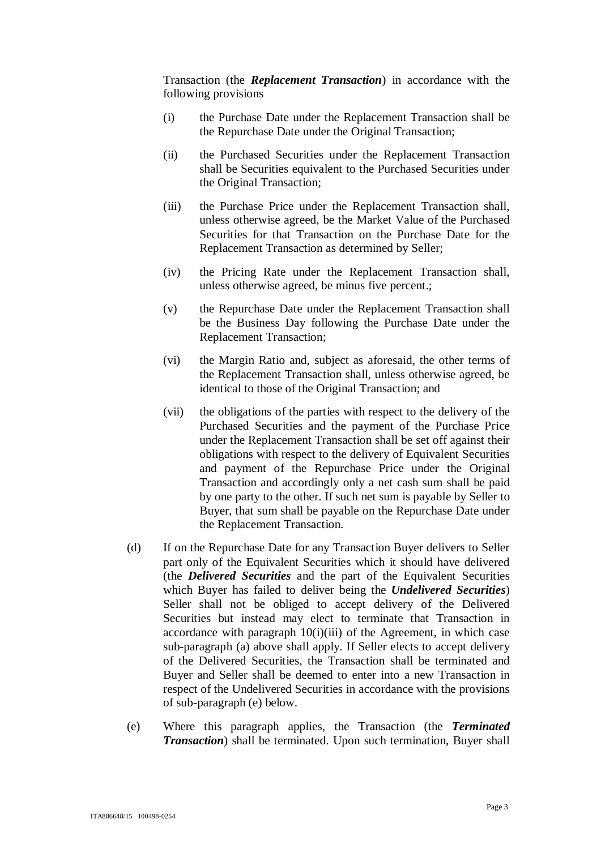Transaction (the *Replacement Transaction*) in accordance with the following provisions

- (i) the Purchase Date under the Replacement Transaction shall be the Repurchase Date under the Original Transaction;
- (ii) the Purchased Securities under the Replacement Transaction shall be Securities equivalent to the Purchased Securities under the Original Transaction;
- (iii) the Purchase Price under the Replacement Transaction shall, unless otherwise agreed, be the Market Value of the Purchased Securities for that Transaction on the Purchase Date for the Replacement Transaction as determined by Seller;
- (iv) the Pricing Rate under the Replacement Transaction shall, unless otherwise agreed, be minus five percent.;
- (v) the Repurchase Date under the Replacement Transaction shall be the Business Day following the Purchase Date under the Replacement Transaction;
- (vi) the Margin Ratio and, subject as aforesaid, the other terms of the Replacement Transaction shall, unless otherwise agreed, be identical to those of the Original Transaction; and
- (vii) the obligations of the parties with respect to the delivery of the Purchased Securities and the payment of the Purchase Price under the Replacement Transaction shall be set off against their obligations with respect to the delivery of Equivalent Securities and payment of the Repurchase Price under the Original Transaction and accordingly only a net cash sum shall be paid by one party to the other. If such net sum is payable by Seller to Buyer, that sum shall be payable on the Repurchase Date under the Replacement Transaction.
- (d) If on the Repurchase Date for any Transaction Buyer delivers to Seller part only of the Equivalent Securities which it should have delivered (the *Delivered Securities* and the part of the Equivalent Securities which Buyer has failed to deliver being the *Undelivered Securities*) Seller shall not be obliged to accept delivery of the Delivered Securities but instead may elect to terminate that Transaction in accordance with paragraph  $10(i)(iii)$  of the Agreement, in which case sub-paragraph (a) above shall apply. If Seller elects to accept delivery of the Delivered Securities, the Transaction shall be terminated and Buyer and Seller shall be deemed to enter into a new Transaction in respect of the Undelivered Securities in accordance with the provisions of sub-paragraph (e) below.
- (e) Where this paragraph applies, the Transaction (the *Terminated Transaction*) shall be terminated. Upon such termination, Buyer shall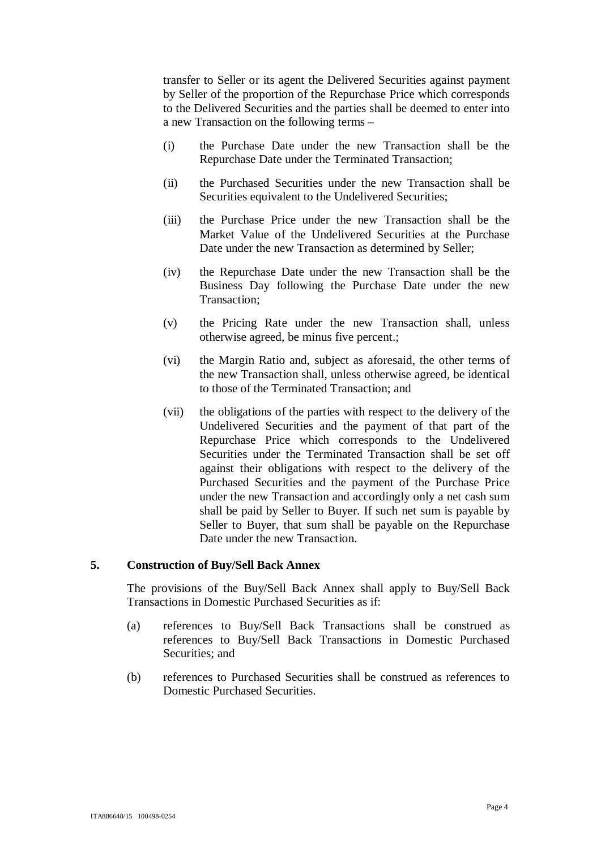transfer to Seller or its agent the Delivered Securities against payment by Seller of the proportion of the Repurchase Price which corresponds to the Delivered Securities and the parties shall be deemed to enter into a new Transaction on the following terms –

- (i) the Purchase Date under the new Transaction shall be the Repurchase Date under the Terminated Transaction;
- (ii) the Purchased Securities under the new Transaction shall be Securities equivalent to the Undelivered Securities;
- (iii) the Purchase Price under the new Transaction shall be the Market Value of the Undelivered Securities at the Purchase Date under the new Transaction as determined by Seller;
- (iv) the Repurchase Date under the new Transaction shall be the Business Day following the Purchase Date under the new Transaction;
- (v) the Pricing Rate under the new Transaction shall, unless otherwise agreed, be minus five percent.;
- (vi) the Margin Ratio and, subject as aforesaid, the other terms of the new Transaction shall, unless otherwise agreed, be identical to those of the Terminated Transaction; and
- (vii) the obligations of the parties with respect to the delivery of the Undelivered Securities and the payment of that part of the Repurchase Price which corresponds to the Undelivered Securities under the Terminated Transaction shall be set off against their obligations with respect to the delivery of the Purchased Securities and the payment of the Purchase Price under the new Transaction and accordingly only a net cash sum shall be paid by Seller to Buyer. If such net sum is payable by Seller to Buyer, that sum shall be payable on the Repurchase Date under the new Transaction.

#### **5. Construction of Buy/Sell Back Annex**

The provisions of the Buy/Sell Back Annex shall apply to Buy/Sell Back Transactions in Domestic Purchased Securities as if:

- (a) references to Buy/Sell Back Transactions shall be construed as references to Buy/Sell Back Transactions in Domestic Purchased Securities; and
- (b) references to Purchased Securities shall be construed as references to Domestic Purchased Securities.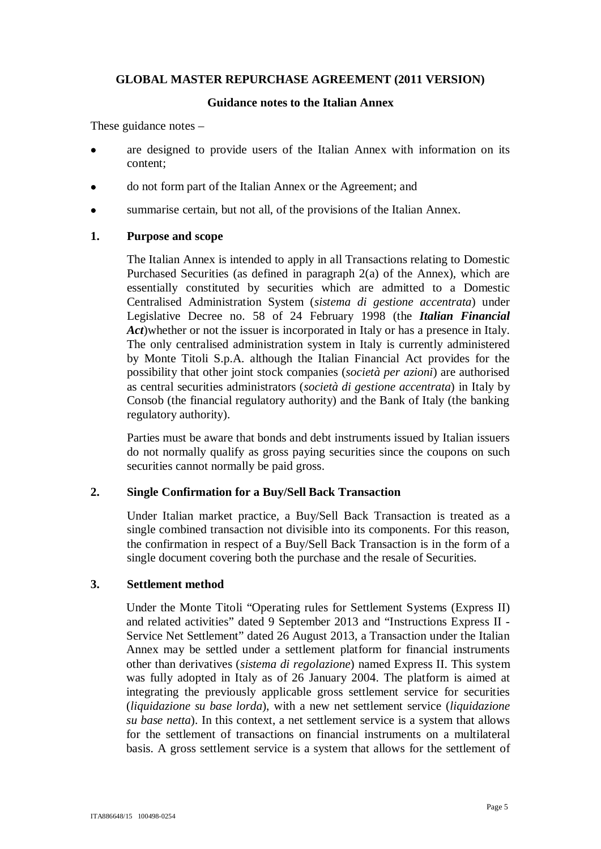## **GLOBAL MASTER REPURCHASE AGREEMENT (2011 VERSION)**

#### **Guidance notes to the Italian Annex**

These guidance notes –

- are designed to provide users of the Italian Annex with information on its content;
- · do not form part of the Italian Annex or the Agreement; and
- · summarise certain, but not all, of the provisions of the Italian Annex.

## **1. Purpose and scope**

The Italian Annex is intended to apply in all Transactions relating to Domestic Purchased Securities (as defined in paragraph 2(a) of the Annex), which are essentially constituted by securities which are admitted to a Domestic Centralised Administration System (*sistema di gestione accentrata*) under Legislative Decree no. 58 of 24 February 1998 (the *Italian Financial Act*)whether or not the issuer is incorporated in Italy or has a presence in Italy. The only centralised administration system in Italy is currently administered by Monte Titoli S.p.A. although the Italian Financial Act provides for the possibility that other joint stock companies (*società per azioni*) are authorised as central securities administrators (*società di gestione accentrata*) in Italy by Consob (the financial regulatory authority) and the Bank of Italy (the banking regulatory authority).

Parties must be aware that bonds and debt instruments issued by Italian issuers do not normally qualify as gross paying securities since the coupons on such securities cannot normally be paid gross.

## **2. Single Confirmation for a Buy/Sell Back Transaction**

Under Italian market practice, a Buy/Sell Back Transaction is treated as a single combined transaction not divisible into its components. For this reason, the confirmation in respect of a Buy/Sell Back Transaction is in the form of a single document covering both the purchase and the resale of Securities.

## **3. Settlement method**

Under the Monte Titoli "Operating rules for Settlement Systems (Express II) and related activities" dated 9 September 2013 and "Instructions Express II - Service Net Settlement" dated 26 August 2013, a Transaction under the Italian Annex may be settled under a settlement platform for financial instruments other than derivatives (*sistema di regolazione*) named Express II. This system was fully adopted in Italy as of 26 January 2004. The platform is aimed at integrating the previously applicable gross settlement service for securities (*liquidazione su base lorda*), with a new net settlement service (*liquidazione su base netta*). In this context, a net settlement service is a system that allows for the settlement of transactions on financial instruments on a multilateral basis. A gross settlement service is a system that allows for the settlement of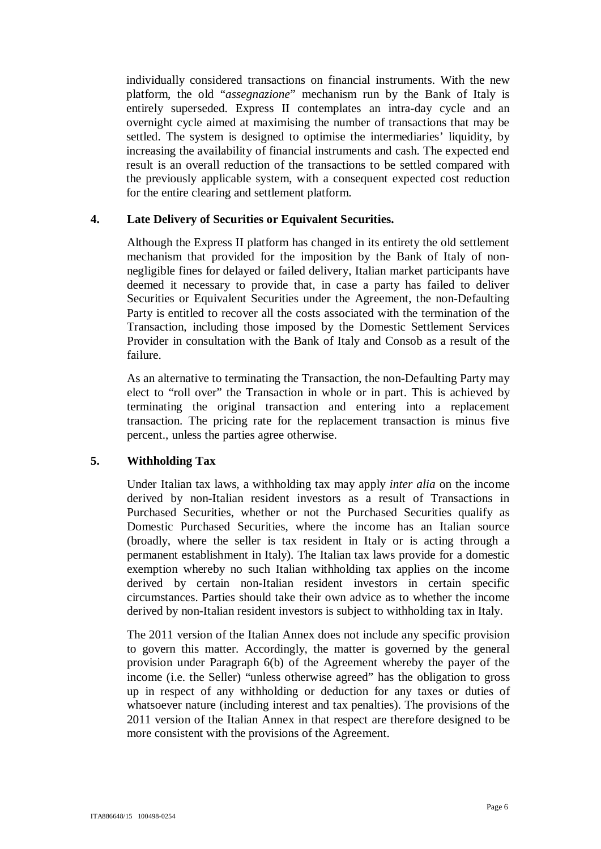individually considered transactions on financial instruments. With the new platform, the old "*assegnazione*" mechanism run by the Bank of Italy is entirely superseded. Express II contemplates an intra-day cycle and an overnight cycle aimed at maximising the number of transactions that may be settled. The system is designed to optimise the intermediaries' liquidity, by increasing the availability of financial instruments and cash. The expected end result is an overall reduction of the transactions to be settled compared with the previously applicable system, with a consequent expected cost reduction for the entire clearing and settlement platform.

## **4. Late Delivery of Securities or Equivalent Securities.**

Although the Express II platform has changed in its entirety the old settlement mechanism that provided for the imposition by the Bank of Italy of nonnegligible fines for delayed or failed delivery, Italian market participants have deemed it necessary to provide that, in case a party has failed to deliver Securities or Equivalent Securities under the Agreement, the non-Defaulting Party is entitled to recover all the costs associated with the termination of the Transaction, including those imposed by the Domestic Settlement Services Provider in consultation with the Bank of Italy and Consob as a result of the failure.

As an alternative to terminating the Transaction, the non-Defaulting Party may elect to "roll over" the Transaction in whole or in part. This is achieved by terminating the original transaction and entering into a replacement transaction. The pricing rate for the replacement transaction is minus five percent., unless the parties agree otherwise.

# **5. Withholding Tax**

Under Italian tax laws, a withholding tax may apply *inter alia* on the income derived by non-Italian resident investors as a result of Transactions in Purchased Securities, whether or not the Purchased Securities qualify as Domestic Purchased Securities, where the income has an Italian source (broadly, where the seller is tax resident in Italy or is acting through a permanent establishment in Italy). The Italian tax laws provide for a domestic exemption whereby no such Italian withholding tax applies on the income derived by certain non-Italian resident investors in certain specific circumstances. Parties should take their own advice as to whether the income derived by non-Italian resident investors is subject to withholding tax in Italy.

The 2011 version of the Italian Annex does not include any specific provision to govern this matter. Accordingly, the matter is governed by the general provision under Paragraph 6(b) of the Agreement whereby the payer of the income (i.e. the Seller) "unless otherwise agreed" has the obligation to gross up in respect of any withholding or deduction for any taxes or duties of whatsoever nature (including interest and tax penalties). The provisions of the 2011 version of the Italian Annex in that respect are therefore designed to be more consistent with the provisions of the Agreement.